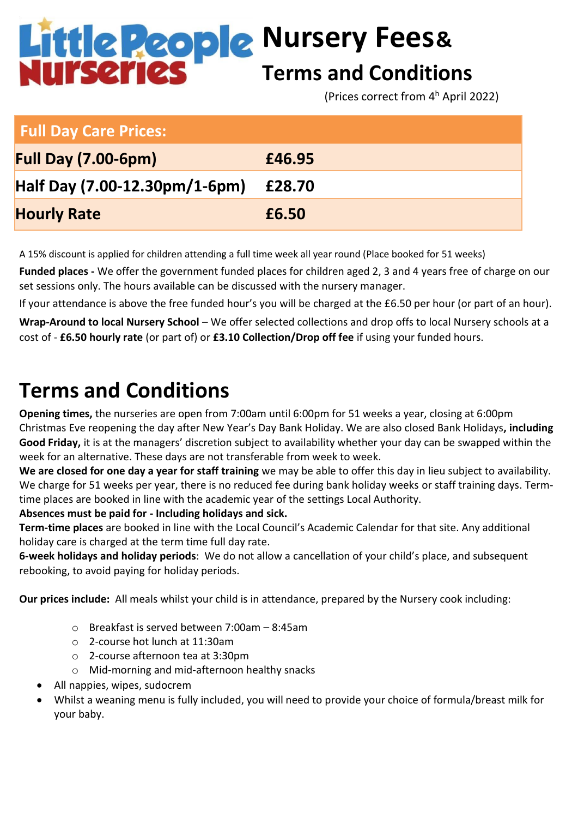# **Nursery Fees& Terms and Conditions**

(Prices correct from 4 <sup>h</sup> April 2022)

| <b>Full Day Care Prices:</b>  |        |
|-------------------------------|--------|
| <b>Full Day (7.00-6pm)</b>    | £46.95 |
| Half Day (7.00-12.30pm/1-6pm) | £28.70 |
| <b>Hourly Rate</b>            | £6.50  |

A 15% discount is applied for children attending a full time week all year round (Place booked for 51 weeks)

**Funded places -** We offer the government funded places for children aged 2, 3 and 4 years free of charge on our set sessions only. The hours available can be discussed with the nursery manager.

If your attendance is above the free funded hour's you will be charged at the £6.50 per hour (or part of an hour).

**Wrap-Around to local Nursery School** – We offer selected collections and drop offs to local Nursery schools at a cost of - **£6.50 hourly rate** (or part of) or **£3.10 Collection/Drop off fee** if using your funded hours.

## **Terms and Conditions**

**Opening times,** the nurseries are open from 7:00am until 6:00pm for 51 weeks a year, closing at 6:00pm Christmas Eve reopening the day after New Year's Day Bank Holiday. We are also closed Bank Holidays**, including Good Friday,** it is at the managers' discretion subject to availability whether your day can be swapped within the week for an alternative. These days are not transferable from week to week.

**We are closed for one day a year for staff training** we may be able to offer this day in lieu subject to availability. We charge for 51 weeks per year, there is no reduced fee during bank holiday weeks or staff training days. Termtime places are booked in line with the academic year of the settings Local Authority.

#### **Absences must be paid for - Including holidays and sick.**

**Term-time places** are booked in line with the Local Council's Academic Calendar for that site. Any additional holiday care is charged at the term time full day rate.

**6-week holidays and holiday periods**: We do not allow a cancellation of your child's place, and subsequent rebooking, to avoid paying for holiday periods.

**Our prices include:** All meals whilst your child is in attendance, prepared by the Nursery cook including:

- o Breakfast is served between 7:00am 8:45am
- o 2-course hot lunch at 11:30am
- o 2-course afternoon tea at 3:30pm
- o Mid-morning and mid-afternoon healthy snacks
- All nappies, wipes, sudocrem
- Whilst a weaning menu is fully included, you will need to provide your choice of formula/breast milk for your baby.